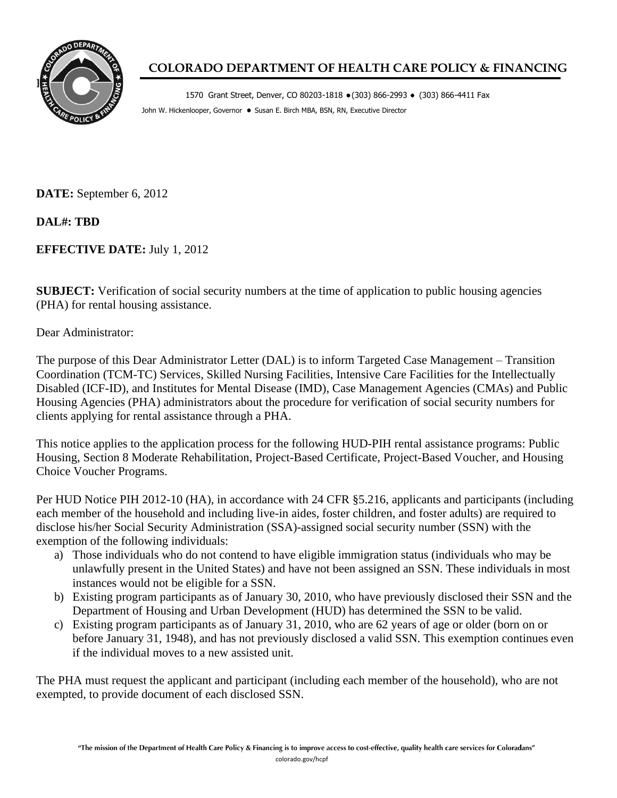

## **COLORADO DEPARTMENT OF HEALTH CARE POLICY & FINANCING**

1570 Grant Street, Denver, CO 80203-1818 (303) 866-2993 (303) 866-4411 Fax John W. Hickenlooper, Governor . Susan E. Birch MBA, BSN, RN, Executive Director

**DATE:** September 6, 2012

**DAL#: TBD**

**EFFECTIVE DATE:** July 1, 2012

**SUBJECT:** Verification of social security numbers at the time of application to public housing agencies (PHA) for rental housing assistance.

Dear Administrator:

The purpose of this Dear Administrator Letter (DAL) is to inform Targeted Case Management – Transition Coordination (TCM-TC) Services, Skilled Nursing Facilities, Intensive Care Facilities for the Intellectually Disabled (ICF-ID), and Institutes for Mental Disease (IMD), Case Management Agencies (CMAs) and Public Housing Agencies (PHA) administrators about the procedure for verification of social security numbers for clients applying for rental assistance through a PHA.

This notice applies to the application process for the following HUD-PIH rental assistance programs: Public Housing, Section 8 Moderate Rehabilitation, Project-Based Certificate, Project-Based Voucher, and Housing Choice Voucher Programs.

Per HUD Notice PIH 2012-10 (HA), in accordance with 24 CFR §5.216, applicants and participants (including each member of the household and including live-in aides, foster children, and foster adults) are required to disclose his/her Social Security Administration (SSA)-assigned social security number (SSN) with the exemption of the following individuals:

- a) Those individuals who do not contend to have eligible immigration status (individuals who may be unlawfully present in the United States) and have not been assigned an SSN. These individuals in most instances would not be eligible for a SSN.
- b) Existing program participants as of January 30, 2010, who have previously disclosed their SSN and the Department of Housing and Urban Development (HUD) has determined the SSN to be valid.
- c) Existing program participants as of January 31, 2010, who are 62 years of age or older (born on or before January 31, 1948), and has not previously disclosed a valid SSN. This exemption continues even if the individual moves to a new assisted unit.

The PHA must request the applicant and participant (including each member of the household), who are not exempted, to provide document of each disclosed SSN.